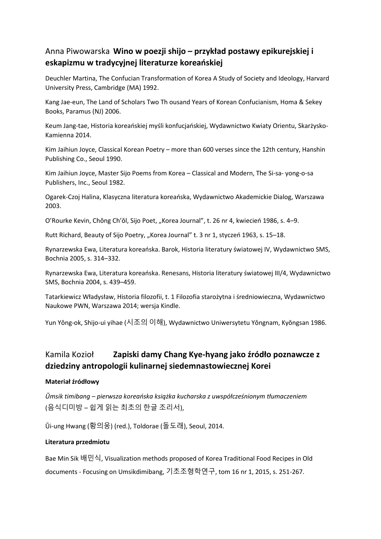# Anna Piwowarska **Wino w poezji shijo – przykład postawy epikurejskiej i eskapizmu w tradycyjnej literaturze koreańskiej**

Deuchler Martina, The Confucian Transformation of Korea A Study of Society and Ideology, Harvard University Press, Cambridge (MA) 1992.

Kang Jae-eun, The Land of Scholars Two Th ousand Years of Korean Confucianism, Homa & Sekey Books, Paramus (NJ) 2006.

Keum Jang-tae, Historia koreańskiej myśli konfucjańskiej, Wydawnictwo Kwiaty Orientu, Skarżysko-Kamienna 2014.

Kim Jaihiun Joyce, Classical Korean Poetry – more than 600 verses since the 12th century, Hanshin Publishing Co., Seoul 1990.

Kim Jaihiun Joyce, Master Sijo Poems from Korea – Classical and Modern, The Si-sa- yong-o-sa Publishers, Inc., Seoul 1982.

Ogarek-Czoj Halina, Klasyczna literatura koreańska, Wydawnictwo Akademickie Dialog, Warszawa 2003.

O'Rourke Kevin, Chŏng Ch'ŏl, Sijo Poet, "Korea Journal", t. 26 nr 4, kwiecień 1986, s. 4–9.

Rutt Richard, Beauty of Sijo Poetry, "Korea Journal" t. 3 nr 1, styczeń 1963, s. 15–18.

Rynarzewska Ewa, Literatura koreańska. Barok, Historia literatury światowej IV, Wydawnictwo SMS, Bochnia 2005, s. 314–332.

Rynarzewska Ewa, Literatura koreańska. Renesans, Historia literatury światowej III/4, Wydawnictwo SMS, Bochnia 2004, s. 439–459.

Tatarkiewicz Władysław, Historia filozofii, t. 1 Filozofia starożytna i średniowieczna, Wydawnictwo Naukowe PWN, Warszawa 2014; wersja Kindle.

Yun Yŏng-ok, Shijo-ui yihae (시조의 이해), Wydawnictwo Uniwersytetu Yŏngnam, Kyŏngsan 1986.

# Kamila Kozioł **Zapiski damy Chang Kye-hyang jako źródło poznawcze z dziedziny antropologii kulinarnej siedemnastowiecznej Korei**

## **Materiał źródłowy**

*Ŭmsik timibang – pierwsza koreańska książka kucharska z uwspółcześnionym tłumaczeniem*  (음식디미방 – 쉽게 읽는 최초의 한글 조리서),

Ŭi-ung Hwang (황의웅) (red.), Toldorae (돌도래), Seoul, 2014.

## **Literatura przedmiotu**

Bae Min Sik 배민식, Visualization methods proposed of Korea Traditional Food Recipes in Old documents - Focusing on Umsikdimibang, 기초조형학연구, tom 16 nr 1, 2015, s. 251-267.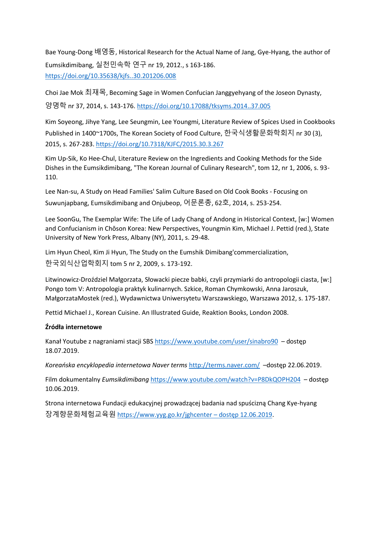Bae Young-Dong 배영동, Historical Research for the Actual Name of Jang, Gye-Hyang, the author of Eumsikdimibang, 실천민속학 연구 nr 19, 2012., s 163-186. <https://doi.org/10.35638/kjfs..30.201206.008>

Choi Jae Mok 최재목, Becoming Sage in Women Confucian Janggyehyang of the Joseon Dynasty, 양명학 nr 37, 2014, s. 143-176. <https://doi.org/10.17088/tksyms.2014..37.005>

Kim Soyeong, Jihye Yang, Lee Seungmin, Lee Youngmi, Literature Review of Spices Used in Cookbooks Published in 1400~1700s, The Korean Society of Food Culture, 한국식생활문화학회지 nr 30 (3), 2015, s. 267-283. <https://doi.org/10.7318/KJFC/2015.30.3.267>

Kim Up-Sik, Ko Hee-Chul, Literature Review on the Ingredients and Cooking Methods for the Side Dishes in the Eumsikdimibang, "The Korean Journal of Culinary Research", tom 12, nr 1, 2006, s. 93- 110.

Lee Nan-su, A Study on Head Families' Salim Culture Based on Old Cook Books - Focusing on Suwunjapbang, Eumsikdimibang and Onjubeop, 어문론총, 62호, 2014, s. 253-254.

Lee SoonGu, The Exemplar Wife: The Life of Lady Chang of Andong in Historical Context, [w:] Women and Confucianism in Chŏson Korea: New Perspectives, Youngmin Kim, Michael J. Pettid (red.), State University of New York Press, Albany (NY), 2011, s. 29-48.

Lim Hyun Cheol, Kim Ji Hyun, The Study on the Eumshik Dimibang'commercialization, 한국외식산업학회지 tom 5 nr 2, 2009, s. 173-192.

Litwinowicz-Droździel Małgorzata, Słowacki piecze babki, czyli przymiarki do antropologii ciasta, [w:] Pongo tom V: Antropologia praktyk kulinarnych. Szkice, Roman Chymkowski, Anna Jaroszuk, MałgorzataMostek (red.), Wydawnictwa Uniwersytetu Warszawskiego, Warszawa 2012, s. 175-187.

Pettid Michael J., Korean Cuisine. An Illustrated Guide, Reaktion Books, London 2008.

#### **Źródła internetowe**

Kanał Youtube z nagraniami stacji SBS <https://www.youtube.com/user/sinabro90> – dostęp 18.07.2019.

*Koreańska encyklopedia internetowa Naver terms* <http://terms.naver.com/> –dostęp 22.06.2019.

Film dokumentalny *Eumsikdimibang* <https://www.youtube.com/watch?v=P8DkQOPH204> – dostęp 10.06.2019.

Strona internetowa Fundacji edukacyjnej prowadzącej badania nad spuścizną Chang Kye-hyang 장계향문화체험교육원 [https://www.yyg.go.kr/jghcenter](https://www.yyg.go.kr/jghcenter%20–%20dostęp%2012.06.2019) – dostęp 12.06.2019.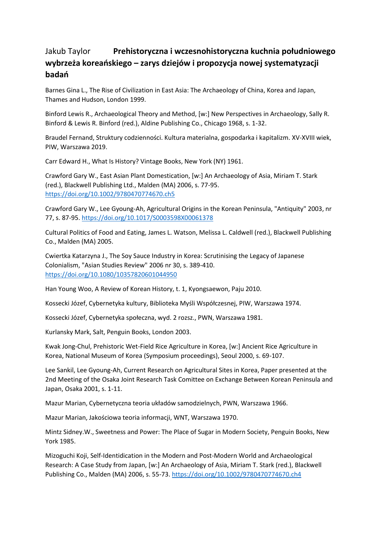# Jakub Taylor **Prehistoryczna i wczesnohistoryczna kuchnia południowego wybrzeża koreańskiego – zarys dziejów i propozycja nowej systematyzacji badań**

Barnes Gina L., The Rise of Civilization in East Asia: The Archaeology of China, Korea and Japan, Thames and Hudson, London 1999.

Binford Lewis R., Archaeological Theory and Method, [w:] New Perspectives in Archaeology, Sally R. Binford & Lewis R. Binford (red.), Aldine Publishing Co., Chicago 1968, s. 1-32.

Braudel Fernand, Struktury codzienności. Kultura materialna, gospodarka i kapitalizm. XV-XVIII wiek, PIW, Warszawa 2019.

Carr Edward H., What Is History? Vintage Books, New York (NY) 1961.

Crawford Gary W., East Asian Plant Domestication, [w:] An Archaeology of Asia, Miriam T. Stark (red.), Blackwell Publishing Ltd., Malden (MA) 2006, s. 77-95. <https://doi.org/10.1002/9780470774670.ch5>

Crawford Gary W., Lee Gyoung-Ah, Agricultural Origins in the Korean Peninsula, "Antiquity" 2003, nr 77, s. 87-95. <https://doi.org/10.1017/S0003598X00061378>

Cultural Politics of Food and Eating, James L. Watson, Melissa L. Caldwell (red.), Blackwell Publishing Co., Malden (MA) 2005.

Cwiertka Katarzyna J., The Soy Sauce Industry in Korea: Scrutinising the Legacy of Japanese Colonialism, "Asian Studies Review" 2006 nr 30, s. 389-410. <https://doi.org/10.1080/10357820601044950>

Han Young Woo, A Review of Korean History, t. 1, Kyongsaewon, Paju 2010.

Kossecki Józef, Cybernetyka kultury, Biblioteka Myśli Współczesnej, PIW, Warszawa 1974.

Kossecki Józef, Cybernetyka społeczna, wyd. 2 rozsz., PWN, Warszawa 1981.

Kurlansky Mark, Salt, Penguin Books, London 2003.

Kwak Jong-Chul, Prehistoric Wet-Field Rice Agriculture in Korea, [w:] Ancient Rice Agriculture in Korea, National Museum of Korea (Symposium proceedings), Seoul 2000, s. 69-107.

Lee Sankil, Lee Gyoung-Ah, Current Research on Agricultural Sites in Korea, Paper presented at the 2nd Meeting of the Osaka Joint Research Task Comittee on Exchange Between Korean Peninsula and Japan, Osaka 2001, s. 1-11.

Mazur Marian, Cybernetyczna teoria układów samodzielnych, PWN, Warszawa 1966.

Mazur Marian, Jakościowa teoria informacji, WNT, Warszawa 1970.

Mintz Sidney.W., Sweetness and Power: The Place of Sugar in Modern Society, Penguin Books, New York 1985.

Mizoguchi Koji, Self-Identidication in the Modern and Post-Modern World and Archaeological Research: A Case Study from Japan, [w:] An Archaeology of Asia, Miriam T. Stark (red.), Blackwell Publishing Co., Malden (MA) 2006, s. 55-73. <https://doi.org/10.1002/9780470774670.ch4>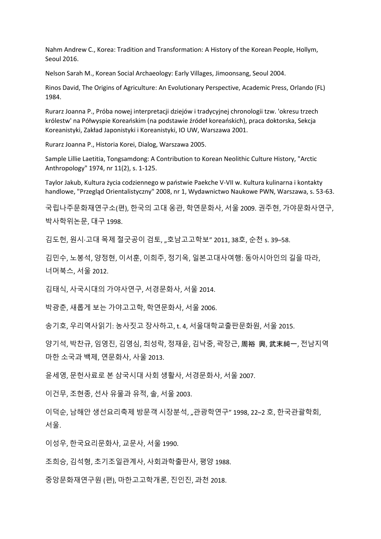Nahm Andrew C., Korea: Tradition and Transformation: A History of the Korean People, Hollym, Seoul 2016.

Nelson Sarah M., Korean Social Archaeology: Early Villages, Jimoonsang, Seoul 2004.

Rinos David, The Origins of Agriculture: An Evolutionary Perspective, Academic Press, Orlando (FL) 1984.

Rurarz Joanna P., Próba nowej interpretacji dziejów i tradycyjnej chronologii tzw. 'okresu trzech królestw' na Półwyspie Koreańskim (na podstawie źródeł koreańskich), praca doktorska, Sekcja Koreanistyki, Zakład Japonistyki i Koreanistyki, IO UW, Warszawa 2001.

Rurarz Joanna P., Historia Korei, Dialog, Warszawa 2005.

Sample Lillie Laetitia, Tongsamdong: A Contribution to Korean Neolithic Culture History, "Arctic Anthropology" 1974, nr 11(2), s. 1-125.

Taylor Jakub, Kultura życia codziennego w państwie Paekche V-VII w. Kultura kulinarna i kontakty handlowe, "Przegląd Orientalistyczny" 2008, nr 1, Wydawnictwo Naukowe PWN, Warszawa, s. 53-63.

국립나주문화재연구소(편), 한국의 고대 옹관, 학연문화사, 서울 2009. 권주현, 가야문화사연구, 박사학위논문, 대구 1998.

김도헌, 원시·고대 목제 절굿공이 검토, "호남고고학보" 2011, 38호, 순천 s. 39–58.

김민수, 노봉석, 양정현, 이서훈, 이희주, 정기옥, 일본고대사여행: 동아시아인의 길을 따라, 너머북스, 서울 2012.

김태식, 사국시대의 가야사연구, 서경문화사, 서울 2014.

박광춘, 새롭게 보는 가야고고학, 학연문화사, 서울 2006.

송기호, 우리역사읽기: 농사짓고 장사하고, t. 4, 서울대학교출판문화원, 서울 2015.

양기석, 박찬규, 임영진, 김영심, 최성락, 정재윤, 김낙중, 곽장근, 周裕 興, 武末純一, 전남지역 마한 소국과 백제, 연문화사, 사울 2013.

윤세영, 문헌사료로 본 삼국시대 사회 생활사, 서경문화사, 서울 2007.

이건무, 조현종, 선사 유물과 유적, 솔, 서울 2003.

이덕순, 남해안 생선요리축제 방문객 시장분석, "관광학연구" 1998, 22–2 호, 한국관괄학회, 서울.

이성우, 한국요리문화사, 교문사, 서울 1990.

조희승, 김석형, 초기조일관계사, 사회과학출판사, 평양 1988.

중앙문화재연구원 (편), 마한고고학개론, 진인진, 과천 2018.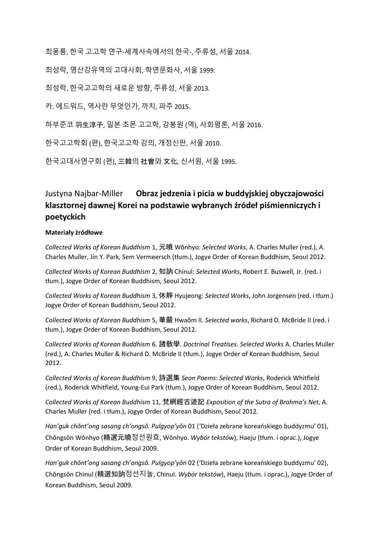최몽룡, 한국 고고학 연구*-*세계사속에서의 한국*-*, 주류성, 서울 2014.

최성락, 영산강유역의 고대사회, 학연문화사, 서울 1999.

최성락, 한국고고학의 새로운 방향, 주류성, 서울 2013.

카. 에드워드, 역사란 무엇인가, 까치, 파주 2015.

하부준코 羽生淳子, 일본 조몬 고고학, 강봉원 (역), 사회평론, 서울 2016.

한국고고학회 (편), 한국고고학 강의, 개정신판, 서울 2010.

한국고대사연구회 (편), 三韓의 社會와 文化*,* 신서원, 서울 1995.

# Justyna Najbar-Miller **Obraz jedzenia i picia w buddyjskiej obyczajowości klasztornej dawnej Korei na podstawie wybranych źródeł piśmienniczych i poetyckich**

#### **Materiały źródłowe**

*Collected Works of Korean Buddhism* 1, 元曉 Wŏnhyo: *Selected Works*, A. Charles Muller (red.), A. Charles Muller, Jin Y. Park, Sem Vermeersch (tłum.), Jogye Order of Korean Buddhism, Seoul 2012.

*Collected Works of Korean Buddhism* 2, 知訥 Chinul: *Selected Works*, Robert E. Buswell, Jr. (red. i tłum.), Jogye Order of Korean Buddhism, Seoul 2012.

*Collected Works of Korean Buddhism* 3, 休靜 Hyujeong: *Selected Works*, John Jorgensen (red. i tłum.) Jogye Order of Korean Buddhism, Seoul 2012.

*Collected Works of Korean Buddhism* 5, 華嚴 Hwaŏm II. *Selected works*, Richard D. McBride II (red. i tłum.), Jogye Order of Korean Buddhism, Seoul 2012.

*Collected Works of Korean Buddhism* 6. 諸敎學. *Doctrinal Treatises. Selected Works* A. Charles Muller (red.), A. Charles Muller & Richard D. McBride II (tłum.), Jogye Order of Korean Buddhism, Seoul 2012.

*Collected Works of Korean Buddhism* 9, 詩選集 *Seon Poems*: *Selected Works*, Roderick Whitfield (red.), Roderick Whitfield, Young-Eui Park (tłum.), Jogye Order of Korean Buddhism, Seoul 2012.

*Collected Works of Korean Buddhism* 11, 梵網經古迹記 *Exposition of the Sutra of Brahma's Net*, A. Charles Muller (red. i tłum.), Jogye Order of Korean Buddhism, Seoul 2012.

*Han'guk chŏnt'ong sasang ch'ongsŏ. Pulgyop'yŏn* 01 ('Dzieła zebrane koreańskiego buddyzmu' 01), Chŏngsŏn Wŏnhyo (精選元曉정선원효, Wŏnhyo. *Wybór tekstów*), Haeju (tłum. i oprac.), Jogye Order of Korean Buddhism, Seoul 2009.

*Han'guk chŏnt'ong sasang ch'ongsŏ. Pulgyop'yŏn* 02 ('Dzieła zebrane koreańskiego buddyzmu' 02), Chŏngsŏn Chinul (精選知訥정선지눌, Chinul. *Wybór tekstów*), Haeju (tłum. i oprac.), Jogye Order of Korean Buddhism, Seoul 2009.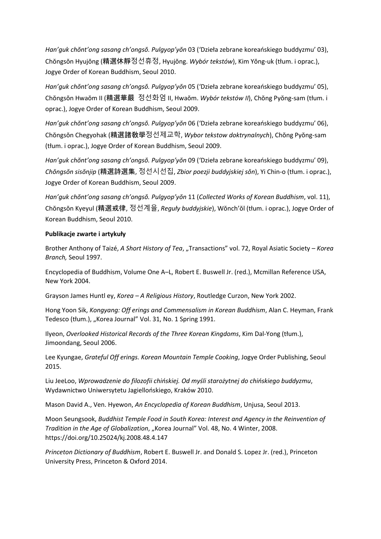*Han'guk chŏnt'ong sasang ch'ongsŏ. Pulgyop'yŏn* 03 ('Dzieła zebrane koreańskiego buddyzmu' 03), Chŏngsŏn Hyujŏng (精選休靜정선휴정, Hyujŏng. *Wybór tekstów*), Kim Yŏng-uk (tłum. i oprac.), Jogye Order of Korean Buddhism, Seoul 2010.

*Han'guk chŏnt'ong sasang ch'ongsŏ. Pulgyop'yŏn* 05 ('Dzieła zebrane koreańskiego buddyzmu' 05), Chŏngsŏn Hwaŏm II (精選華嚴 정선화엄 II, Hwaŏm. *Wybór tekstów II*), Chŏng Pyŏng-sam (tłum. i oprac.), Jogye Order of Korean Buddhism, Seoul 2009.

*Han'guk chŏnt'ong sasang ch'ongsŏ. Pulgyop'yŏn* 06 ('Dzieła zebrane koreańskiego buddyzmu' 06), Chŏngsŏn Chegyohak (精選諸敎學정선제교학, *Wybor tekstow doktrynalnych*), Chŏng Pyŏng-sam (tłum. i oprac.), Jogye Order of Korean Buddhism, Seoul 2009.

*Han'guk chŏnt'ong sasang ch'ongsŏ. Pulgyop'yŏn* 09 ('Dzieła zebrane koreańskiego buddyzmu' 09), *Chŏngsŏn sisŏnjip* (精選詩選集, 정선시선집, *Zbior poezji buddyjskiej sŏn*), Yi Chin-o (tłum. i oprac.), Jogye Order of Korean Buddhism, Seoul 2009.

*Han'guk chŏnt'ong sasang ch'ongsŏ. Pulgyop'yŏn* 11 (*Collected Works of Korean Buddhism*, vol. 11), Chŏngsŏn Kyeyul (精選戒律, 정선계율, *Reguły buddyjskie*), Wŏnch'ŏl (tłum. i oprac.), Jogye Order of Korean Buddhism, Seoul 2010.

#### **Publikacje zwarte i artykuły**

Brother Anthony of Taizé, *A Short History of Tea*, "Transactions" vol. 72, Royal Asiatic Society – Korea *Branch,* Seoul 1997.

Encyclopedia of Buddhism, Volume One A–L, Robert E. Buswell Jr. (red.), Mcmillan Reference USA, New York 2004.

Grayson James Huntl ey, *Korea – A Religious History*, Routledge Curzon, New York 2002.

Hong Yoon Sik, *Kongyang: Off erings and Commensalism in Korean Buddhism*, Alan C. Heyman, Frank Tedesco (tłum.), "Korea Journal" Vol. 31, No. 1 Spring 1991.

Ilyeon, *Overlooked Historical Records of the Three Korean Kingdoms*, Kim Dal-Yong (tłum.), Jimoondang, Seoul 2006.

Lee Kyungae, *Grateful Off erings. Korean Mountain Temple Cooking*, Jogye Order Publishing, Seoul 2015.

Liu JeeLoo, *Wprowadzenie do filozofii chińskiej. Od myśli starożytnej do chińskiego buddyzmu*, Wydawnictwo Uniwersytetu Jagiellońskiego, Kraków 2010.

Mason David A., Ven. Hyewon, *An Encyclopedia of Korean Buddhism*, Unjusa, Seoul 2013.

Moon Seungsook, *Buddhist Temple Food in South Korea: Interest and Agency in the Reinvention of Tradition in the Age of Globalization, "Korea Journal" Vol. 48, No. 4 Winter, 2008.* https://doi.org/10.25024/kj.2008.48.4.147

*Princeton Dictionary of Buddhism*, Robert E. Buswell Jr. and Donald S. Lopez Jr. (red.), Princeton University Press, Princeton & Oxford 2014.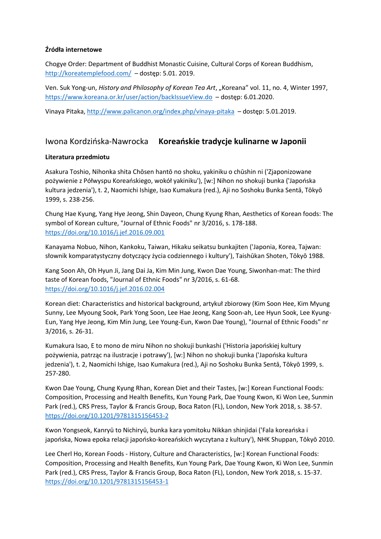#### **Źródła internetowe**

Chogye Order: Department of Buddhist Monastic Cuisine, Cultural Corps of Korean Buddhism, <http://koreatemplefood.com/> – dostęp: 5.01. 2019.

Ven. Suk Yong-un, *History and Philosophy of Korean Tea Art*, "Koreana" vol. 11, no. 4, Winter 1997, <https://www.koreana.or.kr/user/action/backIssueView.do> – dostęp: 6.01.2020.

Vinaya Pitaka,<http://www.palicanon.org/index.php/vinaya-pitaka> – dostęp: 5.01.2019.

# Iwona Kordzińska-Nawrocka **Koreańskie tradycje kulinarne w Japonii**

#### **Literatura przedmiotu**

Asakura Toshio, Nihonka shita Chōsen hantō no shoku, yakiniku o chūshin ni ('Zjaponizowane pożywienie z Półwyspu Koreańskiego, wokół yakiniku'), [w:] Nihon no shokuji bunka ('Japońska kultura jedzenia'), t. 2, Naomichi Ishige, Isao Kumakura (red.), Aji no Soshoku Bunka Sentā, Tōkyō 1999, s. 238-256.

Chung Hae Kyung, Yang Hye Jeong, Shin Dayeon, Chung Kyung Rhan, Aesthetics of Korean foods: The symbol of Korean culture, "Journal of Ethnic Foods" nr 3/2016, s. 178-188. <https://doi.org/10.1016/j.jef.2016.09.001>

Kanayama Nobuo, Nihon, Kankoku, Taiwan, Hikaku seikatsu bunkajiten ('Japonia, Korea, Tajwan: słownik komparatystyczny dotyczący życia codziennego i kultury'), Taishūkan Shoten, Tōkyō 1988.

Kang Soon Ah, Oh Hyun Ji, Jang Dai Ja, Kim Min Jung, Kwon Dae Young, Siwonhan-mat: The third taste of Korean foods, "Journal of Ethnic Foods" nr 3/2016, s. 61-68. <https://doi.org/10.1016/j.jef.2016.02.004>

Korean diet: Characteristics and historical background, artykuł zbiorowy (Kim Soon Hee, Kim Myung Sunny, Lee Myoung Sook, Park Yong Soon, Lee Hae Jeong, Kang Soon-ah, Lee Hyun Sook, Lee Kyung-Eun, Yang Hye Jeong, Kim Min Jung, Lee Young-Eun, Kwon Dae Young), "Journal of Ethnic Foods" nr 3/2016, s. 26-31.

Kumakura Isao, E to mono de miru Nihon no shokuji bunkashi ('Historia japońskiej kultury pożywienia, patrząc na ilustracje i potrawy'), [w:] Nihon no shokuji bunka ('Japońska kultura jedzenia'), t. 2, Naomichi Ishige, Isao Kumakura (red.), Aji no Soshoku Bunka Sentā, Tōkyō 1999, s. 257-280.

Kwon Dae Young, Chung Kyung Rhan, Korean Diet and their Tastes, [w:] Korean Functional Foods: Composition, Processing and Health Benefits, Kun Young Park, Dae Young Kwon, Ki Won Lee, Sunmin Park (red.), CRS Press, Taylor & Francis Group, Boca Raton (FL), London, New York 2018, s. 38-57. <https://doi.org/10.1201/9781315156453-2>

Kwon Yongseok, Kanryū to Nichiryū, bunka kara yomitoku Nikkan shinjidai ('Fala koreańska i japońska, Nowa epoka relacji japońsko-koreańskich wyczytana z kultury'), NHK Shuppan, Tōkyō 2010.

Lee Cherl Ho, Korean Foods - History, Culture and Characteristics, [w:] Korean Functional Foods: Composition, Processing and Health Benefits, Kun Young Park, Dae Young Kwon, Ki Won Lee, Sunmin Park (red.), CRS Press, Taylor & Francis Group, Boca Raton (FL), London, New York 2018, s. 15-37. <https://doi.org/10.1201/9781315156453-1>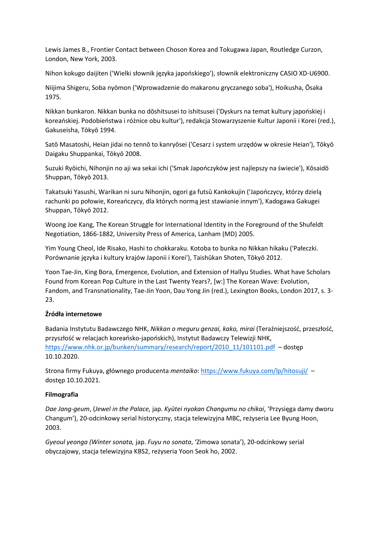Lewis James B., Frontier Contact between Choson Korea and Tokugawa Japan, Routledge Curzon, London, New York, 2003.

Nihon kokugo daijiten ('Wielki słownik języka japońskiego'), słownik elektroniczny CASIO XD-U6900.

Niijima Shigeru, Soba nyōmon ('Wprowadzenie do makaronu gryczanego soba'), Hoikusha, Ōsaka 1975.

Nikkan bunkaron. Nikkan bunka no dōshitsusei to ishitsusei ('Dyskurs na temat kultury japońskiej i koreańskiej. Podobieństwa i różnice obu kultur'), redakcja Stowarzyszenie Kultur Japonii i Korei (red.), Gakuseisha, Tōkyō 1994.

Satō Masatoshi, Heian jidai no tennō to kanryōsei ('Cesarz i system urzędów w okresie Heian'), Tōkyō Daigaku Shuppankai, Tōkyō 2008.

Suzuki Ryōichi, Nihonjin no aji wa sekai ichi ('Smak Japończyków jest najlepszy na świecie'), Kōsaidō Shuppan, Tōkyō 2013.

Takatsuki Yasushi, Warikan ni suru Nihonjin, ogori ga futsū Kankokujin ('Japończycy, którzy dzielą rachunki po połowie, Koreańczycy, dla których normą jest stawianie innym'), Kadogawa Gakugei Shuppan, Tōkyō 2012.

Woong Joe Kang, The Korean Struggle for International Identity in the Foreground of the Shufeldt Negotiation, 1866-1882, University Press of America, Lanham (MD) 2005.

Yim Young Cheol, Ide Risako, Hashi to chokkaraku. Kotoba to bunka no Nikkan hikaku ('Pałeczki. Porównanie języka i kultury krajów Japonii i Korei'), Taishūkan Shoten, Tōkyō 2012.

Yoon Tae-Jin, King Bora, Emergence, Evolution, and Extension of Hallyu Studies. What have Scholars Found from Korean Pop Culture in the Last Twenty Years?, [w:] The Korean Wave: Evolution, Fandom, and Transnationality, Tae-Jin Yoon, Dau Yong Jin (red.), Lexington Books, London 2017, s. 3- 23.

## **Źródła internetowe**

Badania Instytutu Badawczego NHK, *Nikkan o meguru genzai, kako, mirai* (Teraźniejszość, przeszłość, przyszłość w relacjach koreańsko-japońskich), Instytut Badawczy Telewizji NHK, [https://www.nhk.or.jp/bunken/summary/research/report/2010\\_11/101101.pdf](https://www.nhk.or.jp/bunken/summary/research/report/2010_11/101101.pdf) – dostęp 10.10.2020.

Strona firmy Fukuya, głównego producenta *mentaiko*:<https://www.fukuya.com/lp/hitosuji/> – dostęp 10.10.2021.

#### **Filmografia**

*Dae Jang-geum*, (*Jewel in the Palace,* jap. *Kyūtei nyokan Changumu no chikai*, 'Przysięga damy dworu Changum'), 20-odcinkowy serial historyczny, stacja telewizyjna MBC, reżyseria Lee Byung Hoon, 2003.

*Gyeoul yeonga (Winter sonata,* jap. *Fuyu no sonata*, 'Zimowa sonata'), 20-odcinkowy serial obyczajowy, stacja telewizyjna KBS2, reżyseria Yoon Seok ho, 2002.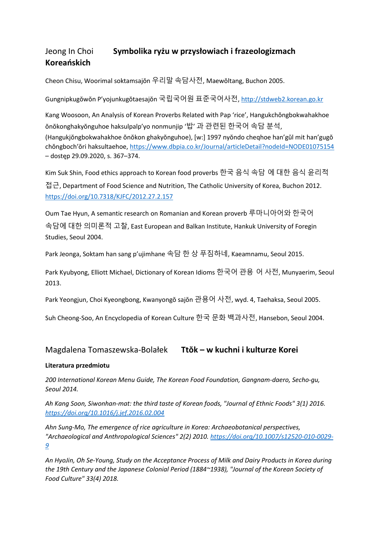# Jeong In Choi **Symbolika ryżu w przysłowiach i frazeologizmach Koreańskich**

Cheon Chisu, Woorimal soktamsajŏn 우리말 속담사전, Maewŏltang, Buchon 2005.

Gungnipkugŏwŏn P'yojunkugŏtaesajŏn 국립국어원 표준국어사전, [http://stdweb2.korean.go.kr](http://stdweb2.korean.go.kr/)

Kang Woosoon, An Analysis of Korean Proverbs Related with Pap 'rice', Hangukchŏngbokwahakhoe ŏnŏkonghakyŏnguhoe haksulpalp'yo nonmunjip '밥' 과 관련된 한국어 속담 분석, (Hangukjŏngbokwahakhoe ŏnŏkon ghakyŏnguhoe), [w:] 1997 nyŏndo cheqhoe han'gŭl mit han'gugŏ chŏngboch'ŏri haksultaehoe, <https://www.dbpia.co.kr/Journal/articleDetail?nodeId=NODE01075154> – dostęp 29.09.2020, s. 367–374.

Kim Suk Shin, Food ethics approach to Korean food proverbs 한국 음식 속담 에 대한 음식 윤리적 접근, Department of Food Science and Nutrition, The Catholic University of Korea, Buchon 2012. <https://doi.org/10.7318/KJFC/2012.27.2.157>

Oum Tae Hyun, A semantic research on Romanian and Korean proverb 루마니아어와 한국어 속담에 대한 의미론적 고찰, East European and Balkan Institute, Hankuk University of Foregin Studies, Seoul 2004.

Park Jeonga, Soktam han sang p'ujimhane 속담 한 상 푸짐하네, Kaeamnamu, Seoul 2015.

Park Kyubyong, Elliott Michael, Dictionary of Korean Idioms 한국어 관용 어 사전, Munyaerim, Seoul 2013.

Park Yeongjun, Choi Kyeongbong, Kwanyongŏ sajŏn 관용어 사전, wyd. 4, Taehaksa, Seoul 2005.

Suh Cheong-Soo, An Encyclopedia of Korean Culture 한국 문화 백과사전, Hansebon, Seoul 2004.

# Magdalena Tomaszewska-Bolałek **Ttŏk – w kuchni i kulturze Korei**

## **Literatura przedmiotu**

*200 International Korean Menu Guide, The Korean Food Foundation, Gangnam-daero, Secho-gu, Seoul 2014.*

*Ah Kang Soon, Siwonhan-mat: the third taste of Korean foods, "Journal of Ethnic Foods" 3(1) 2016. <https://doi.org/10.1016/j.jef.2016.02.004>*

*Ahn Sung-Mo, The emergence of rice agriculture in Korea: Archaeobotanical perspectives, "Archaeological and Anthropological Sciences" 2(2) 2010. [https://doi.org/10.1007/s12520-010-0029-](https://doi.org/10.1007/s12520-010-0029-9) [9](https://doi.org/10.1007/s12520-010-0029-9)*

*An HyoJin, Oh Se-Young, Study on the Acceptance Process of Milk and Dairy Products in Korea during the 19th Century and the Japanese Colonial Period (1884~1938), "Journal of the Korean Society of Food Culture" 33(4) 2018.*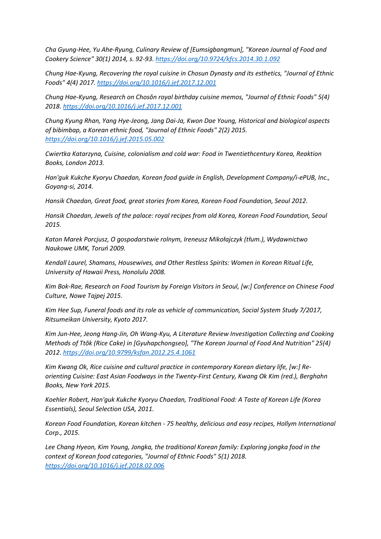*Cha Gyung-Hee, Yu Ahe-Ryung, Culinary Review of [Eumsigbangmun], "Korean Journal of Food and Cookery Science" 30(1) 2014, s. 92-93. <https://doi.org/10.9724/kfcs.2014.30.1.092>*

*Chung Hae-Kyung, Recovering the royal cuisine in Chosun Dynasty and its esthetics, "Journal of Ethnic Foods" 4(4) 2017. <https://doi.org/10.1016/j.jef.2017.12.001>*

*Chung Hae-Kyung, Research on Chosŏn royal birthday cuisine memos, "Journal of Ethnic Foods" 5(4) 2018. <https://doi.org/10.1016/j.jef.2017.12.001>*

*Chung Kyung Rhan, Yang Hye-Jeong, Jang Dai-Ja, Kwon Dae Young, Historical and biological aspects of bibimbap, a Korean ethnic food, "Journal of Ethnic Foods" 2(2) 2015. <https://doi.org/10.1016/j.jef.2015.05.002>*

*Cwiertka Katarzyna, Cuisine, colonialism and cold war: Food in Twentiethcentury Korea, Reaktion Books, London 2013.*

*Han'guk Kukche Kyoryu Chaedan, Korean food guide in English, Development Company/i-ePUB, Inc., Goyang-si, 2014.*

*Hansik Chaedan, Great food, great stories from Korea, Korean Food Foundation, Seoul 2012.*

*Hansik Chaedan, Jewels of the palace: royal recipes from old Korea, Korean Food Foundation, Seoul 2015.*

*Katon Marek Porcjusz, O gospodarstwie rolnym, Ireneusz Mikołajczyk (tłum.), Wydawnictwo Naukowe UMK, Toruń 2009.*

*Kendall Laurel, Shamans, Housewives, and Other Restless Spirits: Women in Korean Ritual Life, University of Hawaii Press, Honolulu 2008.*

*Kim Bok-Rae, Research on Food Tourism by Foreign Visitors in Seoul, [w:] Conference on Chinese Food Culture, Nowe Tajpej 2015.*

*Kim Hee Sup, Funeral foods and its role as vehicle of communication, Social System Study 7/2017, Ritsumeikan University, Kyoto 2017.*

*Kim Jun-Hee, Jeong Hang-Jin, Oh Wang-Kyu, A Literature Review Investigation Collecting and Cooking Methods of Ttŏk (Rice Cake) in [Gyuhapchongseo], "The Korean Journal of Food And Nutrition" 25(4) 2012. <https://doi.org/10.9799/ksfan.2012.25.4.1061>*

*Kim Kwang Ok, Rice cuisine and cultural practice in contemporary Korean dietary life, [w:] Reorienting Cuisine: East Asian Foodways in the Twenty-First Century, Kwang Ok Kim (red.), Berghahn Books, New York 2015.*

*Koehler Robert, Han'guk Kukche Kyoryu Chaedan, Traditional Food: A Taste of Korean Life (Korea Essentials), Seoul Selection USA, 2011.*

*Korean Food Foundation, Korean kitchen - 75 healthy, delicious and easy recipes, Hollym International Corp., 2015.*

*Lee Chang Hyeon, Kim Young, Jongka, the traditional Korean family: Exploring jongka food in the context of Korean food categories, "Journal of Ethnic Foods" 5(1) 2018. <https://doi.org/10.1016/j.jef.2018.02.006>*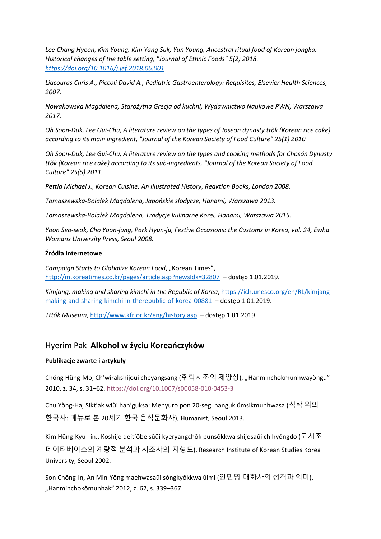*Lee Chang Hyeon, Kim Young, Kim Yang Suk, Yun Young, Ancestral ritual food of Korean jongka: Historical changes of the table setting, "Journal of Ethnic Foods" 5(2) 2018. <https://doi.org/10.1016/j.jef.2018.06.001>*

*Liacouras Chris A., Piccoli David A., Pediatric Gastroenterology: Requisites, Elsevier Health Sciences, 2007.*

*Nowakowska Magdalena, Starożytna Grecja od kuchni, Wydawnictwo Naukowe PWN, Warszawa 2017.*

*Oh Soon-Duk, Lee Gui-Chu, A literature review on the types of Joseon dynasty ttŏk (Korean rice cake) according to its main ingredient, "Journal of the Korean Society of Food Culture" 25(1) 2010*

*Oh Soon-Duk, Lee Gui-Chu, A literature review on the types and cooking methods for Chosŏn Dynasty ttŏk (Korean rice cake) according to its sub-ingredients, "Journal of the Korean Society of Food Culture" 25(5) 2011.*

*Pettid Michael J., Korean Cuisine: An Illustrated History, Reaktion Books, London 2008.*

*Tomaszewska-Bolałek Magdalena, Japońskie słodycze, Hanami, Warszawa 2013.*

*Tomaszewska-Bolałek Magdalena, Tradycje kulinarne Korei, Hanami, Warszawa 2015.*

*Yoon Seo-seok, Cho Yoon-jung, Park Hyun-ju, Festive Occasions: the Customs in Korea, vol. 24, Ewha Womans University Press, Seoul 2008.*

#### **Źródła internetowe**

*Campaign Starts to Globalize Korean Food, "Korean Times",* <http://m.koreatimes.co.kr/pages/article.asp?newsIdx=32807> – dostęp 1.01.2019.

*Kimjang, making and sharing kimchi in the Republic of Korea*[, https://ich.unesco.org/en/RL/kimjang](https://ich.unesco.org/en/RL/kimjang-making-and-sharing-kimchi-in-therepublic-of-korea-00881)[making-and-sharing-kimchi-in-therepublic-of-korea-00881](https://ich.unesco.org/en/RL/kimjang-making-and-sharing-kimchi-in-therepublic-of-korea-00881) – dostęp 1.01.2019.

*Tttŏk Museum*,<http://www.kfr.or.kr/eng/history.asp> – dostęp 1.01.2019.

# Hyerim Pak **Alkohol w życiu Koreańczyków**

## **Publikacje zwarte i artykuły**

Chŏng Hŭng-Mo, Ch'wirakshijoŭi cheyangsang (취락시조의 제양상), "Hanminchokmunhwayŏngu" 2010, z. 34, s. 31–62. <https://doi.org/10.1007/s00058-010-0453-3>

Chu Yŏng-Ha, Sikt'ak wiŭi han'guksa: Menyuro pon 20-segi hanguk ŭmsikmunhwasa (식탁 위의 한국사: 메뉴로 본 20세기 한국 음식문화사), Humanist, Seoul 2013.

Kim Hŭng-Kyu i in., Koshijo deit'ŏbeisŭŭi kyeryangchŏk punsŏkkwa shijosaŭi chihyŏngdo (고시조 데이터베이스의 계량적 분석과 시조사의 지형도), Research Institute of Korean Studies Korea University, Seoul 2002.

Son Chŏng-In, An Min-Yŏng maehwasaŭi sŏngkyŏkkwa ŭimi (안민영 매화사의 성격과 의미), "Hanminchokŏmunhak" 2012, z. 62, s. 339–367.